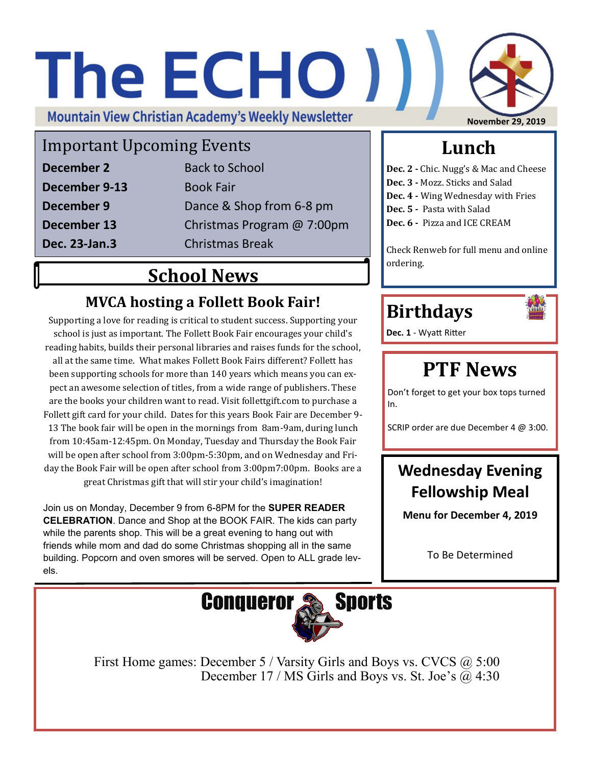# The ECHO ) )

**Mountain View Christian Academy's Weekly Newsletter** 

#### Important Upcoming Events

| December 2    | <b>Back to School</b>      |
|---------------|----------------------------|
| December 9-13 | <b>Book Fair</b>           |
| December 9    | Dance & Shop from 6-8 pm   |
| December 13   | Christmas Program @ 7:00pm |
| Dec. 23-Jan.3 | <b>Christmas Break</b>     |

#### **School News**

#### **MVCA hosting a Follett Book Fair!**

Supporting a love for reading is critical to student success. Supporting your school is just as important. The Follett Book Fair encourages your child's reading habits, builds their personal libraries and raises funds for the school, all at the same time. What makes Follett Book Fairs different? Follett has been supporting schools for more than 140 years which means you can expect an awesome selection of titles, from a wide range of publishers. These are the books your children want to read. Visit follettgift.com to purchase a Follett gift card for your child. Dates for this years Book Fair are December 9- 13 The book fair will be open in the mornings from 8am-9am, during lunch from 10:45am-12:45pm. On Monday, Tuesday and Thursday the Book Fair will be open after school from 3:00pm-5:30pm, and on Wednesday and Friday the Book Fair will be open after school from 3:00pm7:00pm. Books are a great Christmas gift that will stir your child's imagination!

Join us on Monday, December 9 from 6-8PM for the **SUPER READER CELEBRATION**. Dance and Shop at the BOOK FAIR. The kids can party while the parents shop. This will be a great evening to hang out with friends while mom and dad do some Christmas shopping all in the same building. Popcorn and oven smores will be served. Open to ALL grade levels.

**November 29, 2019** 

#### **Lunch**

**Dec. 2 -** Chic. Nugg's & Mac and Cheese

- **Dec. 3 -** Mozz. Sticks and Salad
- **Dec. 4 -** Wing Wednesday with Fries
- **Dec. 5 -** Pasta with Salad
- **Dec. 6 -** Pizza and ICE CREAM

Check Renweb for full menu and online ordering.

#### **Birthdays**



**Dec. 1** - Wyatt Ritter

#### **PTF News**

Don't forget to get your box tops turned In.

SCRIP order are due December 4 @ 3:00.

#### **Wednesday Evening Fellowship Meal**

**Menu for December 4, 2019**

To Be Determined



First Home games: December 5 / Varsity Girls and Boys vs. CVCS @ 5:00 December 17 / MS Girls and Boys vs. St. Joe's  $\overline{a}$  4:30